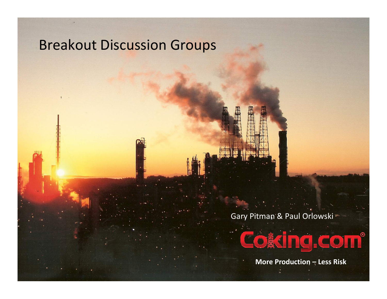#### Breakout Discussion Groups

Gary Pitman & Paul Orlowski



More Production  $\pm$  Less Risk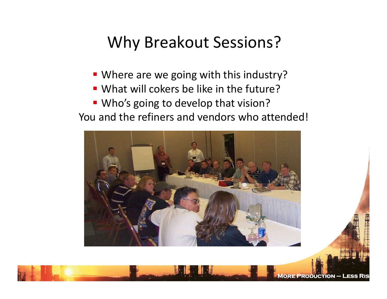#### Why Breakout Sessions?

- **Where are we going with this industry?**
- What will cokers be like in the future?
- **Who's going to develop that vision?**

You and the refiners and vendors who attended!

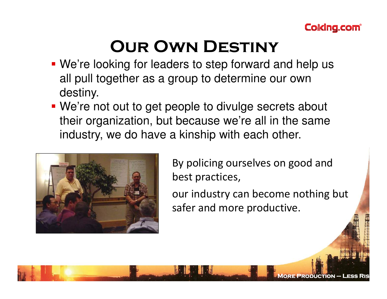

## Our Own Destiny

- We're looking for leaders to step forward and help us all pull together as a group to determine our own destiny.
- We're not out to get people to divulge secrets about their organization, but because we're all in the same industry, we do have a kinship with each other.



By policing ourselves on good and best practices,

our industry can become nothing but safer and more productive.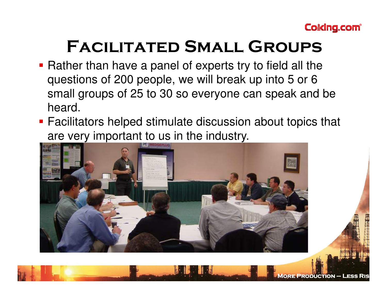

### Facilitated Small Groups

- **Rather than have a panel of experts try to field all the** questions of 200 people, we will break up into 5 or 6 small groups of 25 to 30 so everyone can speak and be heard.
- Facilitators helped stimulate discussion about topics that are very important to us in the industry.

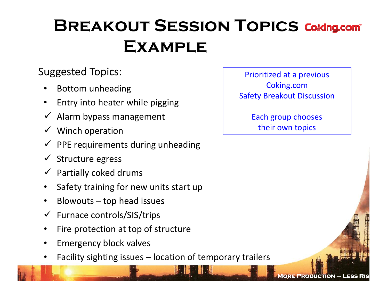## **BREAKOUT SESSION TOPICS Coling.com EXAMPLE**

#### Suggested Topics:

- •Bottom unheading
- •Entry into heater while pigging
- Alarm bypass management
- Winch operation
- PPE requirements during unheading
- Structure egress
- Partially coked drums
- •Safety training for new units start up
- •Blowouts – top head issues
- Furnace controls/SIS/trips
- •Fire protection at top of structure
- •Emergency block valves
- •Facility sighting issues – location of temporary trailers

Prioritized at a previous Coking.com Safety Breakout Discussion

> Each group chooses their own topics

> > More Production – Less Ris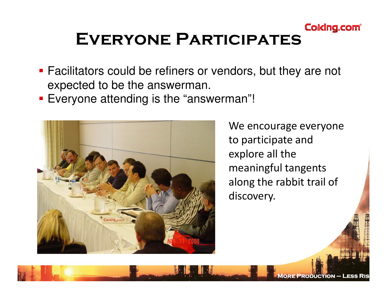

- Facilitators could be refiners or vendors, but they are not expected to be the answerman.
- **Everyone attending is the "answerman"!**



We encourage everyone to participate and explore all the meaningful tangents along the rabbit trail of discovery.

More Production – Less Ris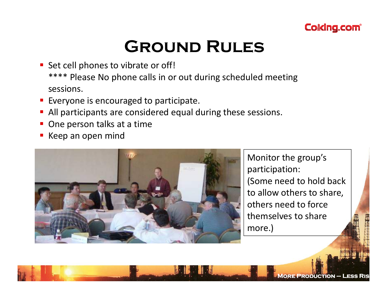

## Ground Rules

- Set cell phones to vibrate or off! \*\*\*\* Please No phone calls in or out during scheduled meeting sessions.
- **Exeryone is encouraged to participate.**
- **All participants are considered equal during these sessions.**
- One person talks at a time
- b. Keep an open mind



Monitor the group's participation: (Some need to hold back to allow others to share, others need to force themselves to share more.)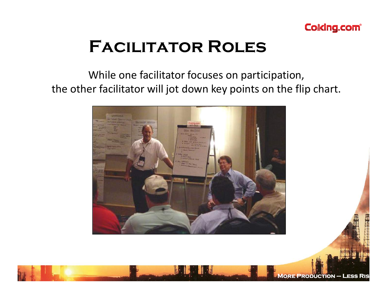

### Facilitator Roles

#### While one facilitator focuses on participation, the other facilitator will jot down key points on the flip chart.

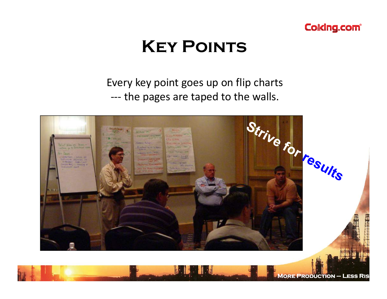

### **KEY POINTS**

Every key point goes up on flip charts --the pages are taped to the walls.

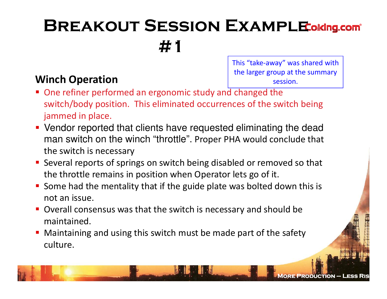# **BREAKOUT SESSION EXAMPLE ONING.COM** #1

#### Winch Operation

This "take-away" was shared with the larger group at the summary session.

- One refiner performed an ergonomic study and changed the switch/body position. This eliminated occurrences of the switch being jammed in place.
- Vendor reported that clients have requested eliminating the dead man switch on the winch "throttle". Proper PHA would conclude that the switch is necessary
- **Several reports of springs on switch being disabled or removed so that** the throttle remains in position when Operator lets go of it.
- Some had the mentality that if the guide plate was bolted down this is not an issue.
- **D** Overall consensus was that the switch is necessary and should be maintained.
- Maintaining and using this switch must be made part of the safety culture.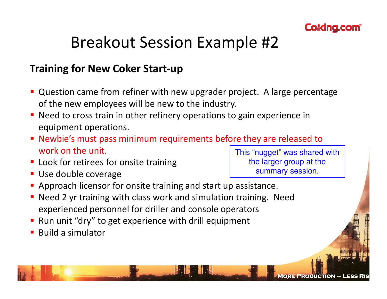

### Breakout Session Example #2

#### Training for New Coker Start-up

- Question came from refiner with new upgrader project. A large percentage of the new employees will be new to the industry.
- **Need to cross train in other refinery operations to gain experience in** equipment operations.
- Newbie's must pass minimum requirements before they are released to work on the unit.
- **Look for retirees for onsite training**
- Use double coverage

This "nugget" was shared with the larger group at the summary session.

- **Approach licensor for onsite training and start up assistance.**
- Need 2 yr training with class work and simulation training. Need experienced personnel for driller and console operators
- Run unit "dry" to get experience with drill equipment
- Build a simulator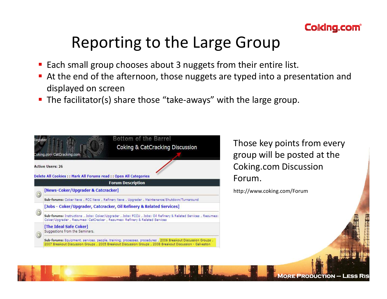

#### Reporting to the Large Group

- Each small group chooses about 3 nuggets from their entire list.
- At the end of the afternoon, those nuggets are typed into a presentation and displayed on screen
- The facilitator(s) share those "take-aways" with the large group.  $\blacksquare$



Those key points from every group will be posted at the Coking.com Discussion Forum.

http://www.coking.com/Forum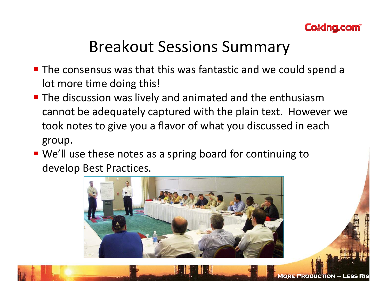

### Breakout Sessions Summary

- The consensus was that this was fantastic and we could spend a lot more time doing this!
- **The discussion was lively and animated and the enthusiasm** cannot be adequately captured with the plain text. However we took notes to give you a flavor of what you discussed in each group.
- We'll use these notes as a spring board for continuing to develop Best Practices.

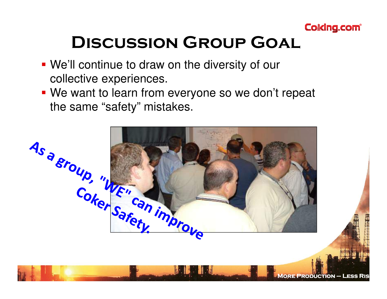

## Discussion Group Goal

- We'll continue to draw on the diversity of our collective experiences.
- We want to learn from everyone so we don't repeat the same "safety" mistakes.